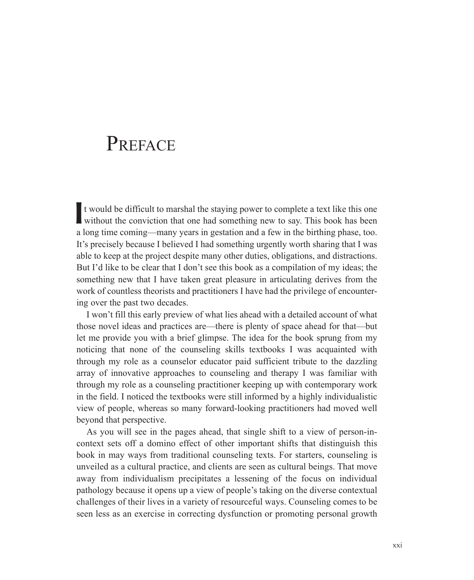## PREFACE

It would be difficult to marshal the staying power to complete a text like this one without the conviction that one had something new to say. This book has been t would be difficult to marshal the staying power to complete a text like this one a long time coming—many years in gestation and a few in the birthing phase, too. It's precisely because I believed I had something urgently worth sharing that I was able to keep at the project despite many other duties, obligations, and distractions. But I'd like to be clear that I don't see this book as a compilation of my ideas; the something new that I have taken great pleasure in articulating derives from the work of countless theorists and practitioners I have had the privilege of encountering over the past two decades.

I won't fill this early preview of what lies ahead with a detailed account of what those novel ideas and practices are—there is plenty of space ahead for that—but let me provide you with a brief glimpse. The idea for the book sprung from my noticing that none of the counseling skills textbooks I was acquainted with through my role as a counselor educator paid sufficient tribute to the dazzling array of innovative approaches to counseling and therapy I was familiar with through my role as a counseling practitioner keeping up with contemporary work in the field. I noticed the textbooks were still informed by a highly individualistic view of people, whereas so many forward-looking practitioners had moved well beyond that perspective.

As you will see in the pages ahead, that single shift to a view of person-incontext sets off a domino effect of other important shifts that distinguish this book in may ways from traditional counseling texts. For starters, counseling is unveiled as a cultural practice, and clients are seen as cultural beings. That move away from individualism precipitates a lessening of the focus on individual pathology because it opens up a view of people's taking on the diverse contextual challenges of their lives in a variety of resourceful ways. Counseling comes to be seen less as an exercise in correcting dysfunction or promoting personal growth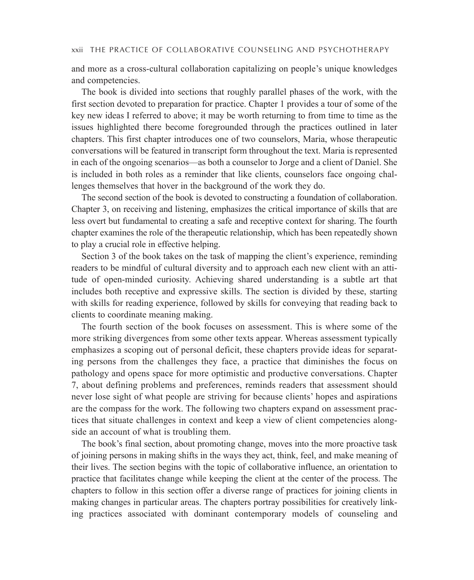## xxii THE PRACTICE OF COLLABORATIVE COUNSELING AND PSYCHOTHERAPY

and more as a cross-cultural collaboration capitalizing on people's unique knowledges and competencies.

The book is divided into sections that roughly parallel phases of the work, with the first section devoted to preparation for practice. Chapter 1 provides a tour of some of the key new ideas I referred to above; it may be worth returning to from time to time as the issues highlighted there become foregrounded through the practices outlined in later chapters. This first chapter introduces one of two counselors, Maria, whose therapeutic conversations will be featured in transcript form throughout the text. Maria is represented in each of the ongoing scenarios—as both a counselor to Jorge and a client of Daniel. She is included in both roles as a reminder that like clients, counselors face ongoing challenges themselves that hover in the background of the work they do.

The second section of the book is devoted to constructing a foundation of collaboration. Chapter 3, on receiving and listening, emphasizes the critical importance of skills that are less overt but fundamental to creating a safe and receptive context for sharing. The fourth chapter examines the role of the therapeutic relationship, which has been repeatedly shown to play a crucial role in effective helping.

Section 3 of the book takes on the task of mapping the client's experience, reminding readers to be mindful of cultural diversity and to approach each new client with an attitude of open-minded curiosity. Achieving shared understanding is a subtle art that includes both receptive and expressive skills. The section is divided by these, starting with skills for reading experience, followed by skills for conveying that reading back to clients to coordinate meaning making.

The fourth section of the book focuses on assessment. This is where some of the more striking divergences from some other texts appear. Whereas assessment typically emphasizes a scoping out of personal deficit, these chapters provide ideas for separating persons from the challenges they face, a practice that diminishes the focus on pathology and opens space for more optimistic and productive conversations. Chapter 7, about defining problems and preferences, reminds readers that assessment should never lose sight of what people are striving for because clients' hopes and aspirations are the compass for the work. The following two chapters expand on assessment practices that situate challenges in context and keep a view of client competencies alongside an account of what is troubling them.

The book's final section, about promoting change, moves into the more proactive task of joining persons in making shifts in the ways they act, think, feel, and make meaning of their lives. The section begins with the topic of collaborative influence, an orientation to practice that facilitates change while keeping the client at the center of the process. The chapters to follow in this section offer a diverse range of practices for joining clients in making changes in particular areas. The chapters portray possibilities for creatively linking practices associated with dominant contemporary models of counseling and